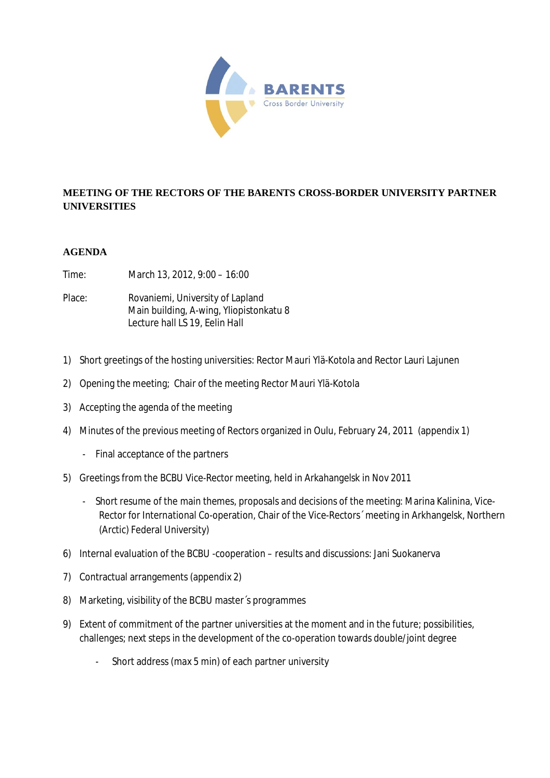

## **MEETING OF THE RECTORS OF THE BARENTS CROSS-BORDER UNIVERSITY PARTNER UNIVERSITIES**

## **AGENDA**

Time: March 13, 2012, 9:00 – 16:00

Place: Rovaniemi, University of Lapland Main building, A-wing, Yliopistonkatu 8 Lecture hall LS 19, Eelin Hall

- 1) Short greetings of the hosting universities: Rector Mauri Ylä-Kotola and Rector Lauri Lajunen
- 2) Opening the meeting; Chair of the meeting Rector Mauri Ylä-Kotola
- 3) Accepting the agenda of the meeting
- 4) Minutes of the previous meeting of Rectors organized in Oulu, February 24, 2011 (appendix 1)
	- Final acceptance of the partners
- 5) Greetings from the BCBU Vice-Rector meeting, held in Arkahangelsk in Nov 2011
	- Short resume of the main themes, proposals and decisions of the meeting: Marina Kalinina, Vice-Rector for International Co-operation, Chair of the Vice-Rectors´ meeting in Arkhangelsk, Northern (Arctic) Federal University)
- 6) Internal evaluation of the BCBU -cooperation results and discussions: Jani Suokanerva
- 7) Contractual arrangements (appendix 2)
- 8) Marketing, visibility of the BCBU master´s programmes
- 9) Extent of commitment of the partner universities at the moment and in the future; possibilities, challenges; next steps in the development of the co-operation towards double/joint degree
	- Short address (max 5 min) of each partner university